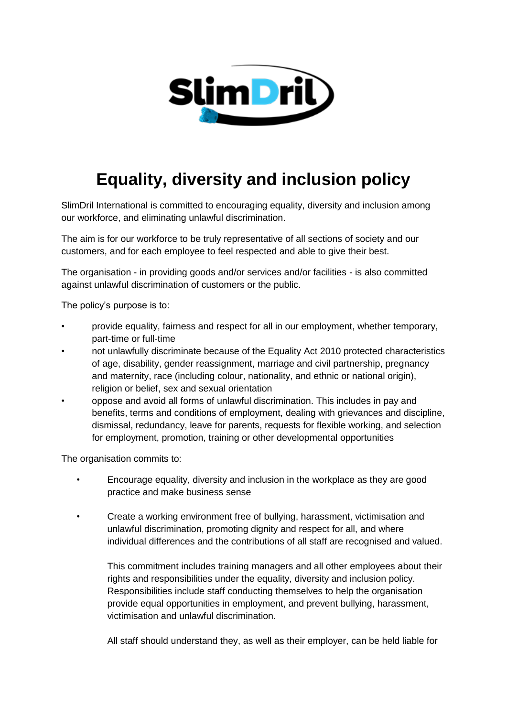

## **Equality, diversity and inclusion policy**

SlimDril International is committed to encouraging equality, diversity and inclusion among our workforce, and eliminating unlawful discrimination.

The aim is for our workforce to be truly representative of all sections of society and our customers, and for each employee to feel respected and able to give their best.

The organisation - in providing goods and/or services and/or facilities - is also committed against unlawful discrimination of customers or the public.

The policy's purpose is to:

- provide equality, fairness and respect for all in our employment, whether temporary, part-time or full-time
- not unlawfully discriminate because of the Equality Act 2010 protected characteristics of age, disability, gender reassignment, marriage and civil partnership, pregnancy and maternity, race (including colour, nationality, and ethnic or national origin), religion or belief, sex and sexual orientation
	- oppose and avoid all forms of unlawful discrimination. This includes in pay and benefits, terms and conditions of employment, dealing with grievances and discipline, dismissal, redundancy, leave for parents, requests for flexible working, and selection for employment, promotion, training or other developmental opportunities

The organisation commits to:

- Encourage equality, diversity and inclusion in the workplace as they are good practice and make business sense
- Create a working environment free of bullying, harassment, victimisation and unlawful discrimination, promoting dignity and respect for all, and where individual differences and the contributions of all staff are recognised and valued.

This commitment includes training managers and all other employees about their rights and responsibilities under the equality, diversity and inclusion policy. Responsibilities include staff conducting themselves to help the organisation provide equal opportunities in employment, and prevent bullying, harassment, victimisation and unlawful discrimination.

All staff should understand they, as well as their employer, can be held liable for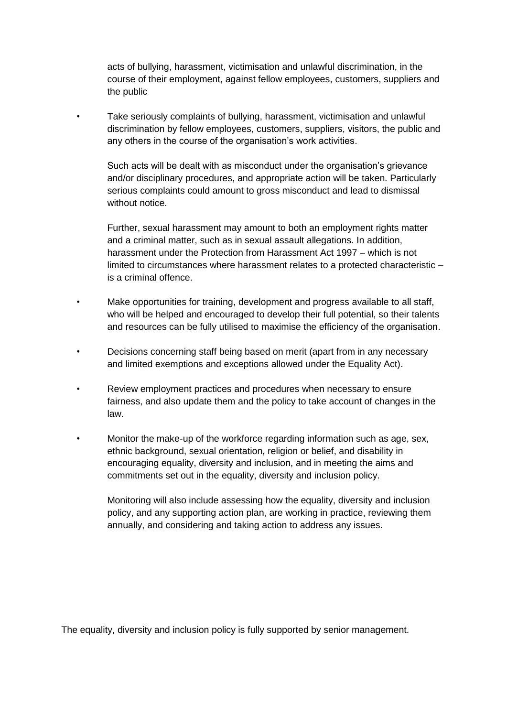acts of bullying, harassment, victimisation and unlawful discrimination, in the course of their employment, against fellow employees, customers, suppliers and the public

• Take seriously complaints of bullying, harassment, victimisation and unlawful discrimination by fellow employees, customers, suppliers, visitors, the public and any others in the course of the organisation's work activities.

Such acts will be dealt with as misconduct under the organisation's grievance and/or disciplinary procedures, and appropriate action will be taken. Particularly serious complaints could amount to gross misconduct and lead to dismissal without notice.

Further, sexual harassment may amount to both an employment rights matter and a criminal matter, such as in sexual assault allegations. In addition, harassment under the Protection from Harassment Act 1997 – which is not limited to circumstances where harassment relates to a protected characteristic – is a criminal offence.

- Make opportunities for training, development and progress available to all staff, who will be helped and encouraged to develop their full potential, so their talents and resources can be fully utilised to maximise the efficiency of the organisation.
- Decisions concerning staff being based on merit (apart from in any necessary and limited exemptions and exceptions allowed under the Equality Act).
- Review employment practices and procedures when necessary to ensure fairness, and also update them and the policy to take account of changes in the law.
- Monitor the make-up of the workforce regarding information such as age, sex, ethnic background, sexual orientation, religion or belief, and disability in encouraging equality, diversity and inclusion, and in meeting the aims and commitments set out in the equality, diversity and inclusion policy.

Monitoring will also include assessing how the equality, diversity and inclusion policy, and any supporting action plan, are working in practice, reviewing them annually, and considering and taking action to address any issues.

The equality, diversity and inclusion policy is fully supported by senior management.